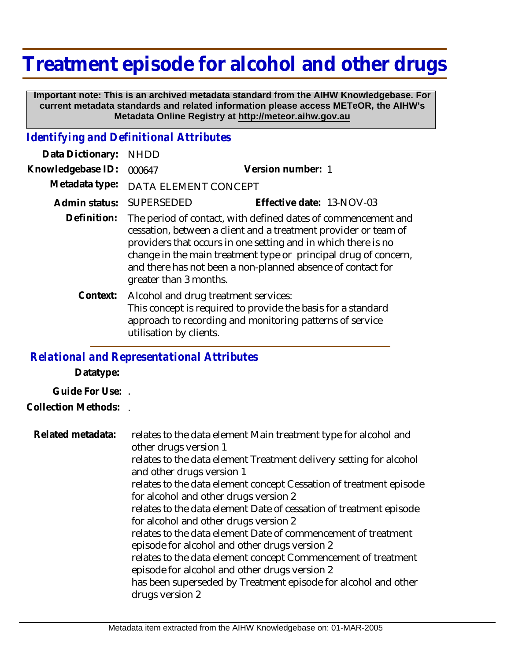## **Treatment episode for alcohol and other drugs**

 **Important note: This is an archived metadata standard from the AIHW Knowledgebase. For current metadata standards and related information please access METeOR, the AIHW's Metadata Online Registry at http://meteor.aihw.gov.au**

## *Identifying and Definitional Attributes*

| Data Dictionary:  | <b>NHDD</b>                                                                                                                                                                                                                                                                                                                                                   |                                                                                                                          |
|-------------------|---------------------------------------------------------------------------------------------------------------------------------------------------------------------------------------------------------------------------------------------------------------------------------------------------------------------------------------------------------------|--------------------------------------------------------------------------------------------------------------------------|
| Knowledgebase ID: | 000647                                                                                                                                                                                                                                                                                                                                                        | Version number: 1                                                                                                        |
| Metadata type:    | DATA ELEMENT CONCEPT                                                                                                                                                                                                                                                                                                                                          |                                                                                                                          |
| Admin status:     | SUPERSEDED                                                                                                                                                                                                                                                                                                                                                    | Effective date: 13-NOV-03                                                                                                |
| Definition:       | The period of contact, with defined dates of commencement and<br>cessation, between a client and a treatment provider or team of<br>providers that occurs in one setting and in which there is no<br>change in the main treatment type or principal drug of concern,<br>and there has not been a non-planned absence of contact for<br>greater than 3 months. |                                                                                                                          |
| Context:          | Alcohol and drug treatment services:<br>utilisation by clients.                                                                                                                                                                                                                                                                                               | This concept is required to provide the basis for a standard<br>approach to recording and monitoring patterns of service |

## *Relational and Representational Attributes*

**Datatype:**

**Guide For Use:** .

**Collection Methods:** .

| Related metadata: | relates to the data element Main treatment type for alcohol and<br>other drugs version 1<br>relates to the data element Treatment delivery setting for alcohol<br>and other drugs version 1<br>relates to the data element concept Cessation of treatment episode<br>for alcohol and other drugs version 2<br>relates to the data element Date of cessation of treatment episode<br>for alcohol and other drugs version 2<br>relates to the data element Date of commencement of treatment<br>episode for alcohol and other drugs version 2<br>relates to the data element concept Commencement of treatment<br>episode for alcohol and other drugs version 2 |
|-------------------|---------------------------------------------------------------------------------------------------------------------------------------------------------------------------------------------------------------------------------------------------------------------------------------------------------------------------------------------------------------------------------------------------------------------------------------------------------------------------------------------------------------------------------------------------------------------------------------------------------------------------------------------------------------|
|                   | has been superseded by Treatment episode for alcohol and other                                                                                                                                                                                                                                                                                                                                                                                                                                                                                                                                                                                                |
|                   | drugs version 2                                                                                                                                                                                                                                                                                                                                                                                                                                                                                                                                                                                                                                               |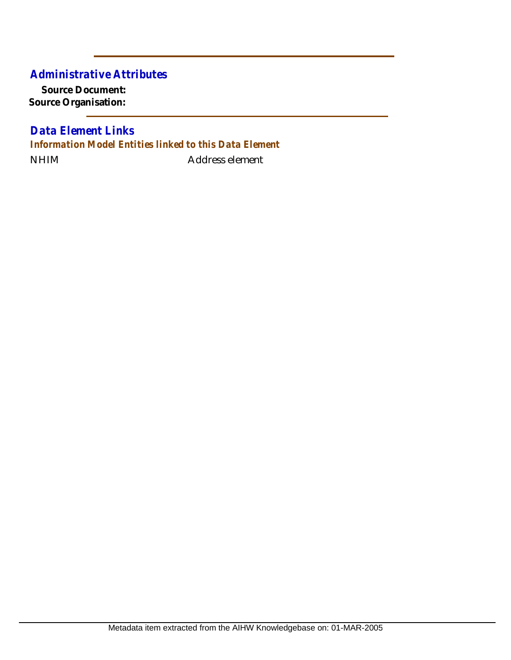## *Administrative Attributes*

**Source Document: Source Organisation:**

NHIM Address element *Data Element Links Information Model Entities linked to this Data Element*